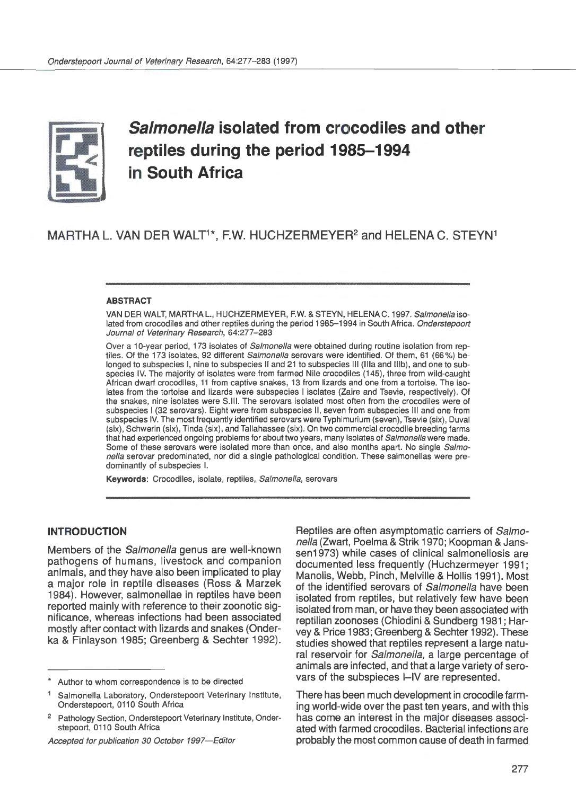

# **Salmonella isolated from crocodiles and other reptiles during the period 1985-1994 in South Africa**

# MARTHA L. VAN DER WALT<sup>1\*</sup>, F.W. HUCHZERMEYER<sup>2</sup> and HELENA C. STEYN<sup>1</sup>

#### ABSTRACT

VAN DER WALT, MARTHAL., HUCHZERMEYER, F.W. & STEYN, HELENAC. 1997. Salmonella isolated from crocodiles and other reptiles during the period 1985-1994 in South Africa. Onderstepoort Journal of Veterinary Research, 64:277-283

Over a 10-year period, 173 isolates of Salmonella were obtained during routine isolation from reptiles. Of the 173 isolates, 92 different Salmonella serovars were identified. Of them, 61 (66%) belonged to subspecies I, nine to subspecies II and 21 to subspecies Ill (lila and lllb), and one to subspecies IV. The majority of isolates were from farmed Nile crocodiles (145), three from wild-caught African dwarf crocodiles, 11 from captive snakes, 13 from lizards and one from a tortoise. The isolates from the tortoise and lizards were subspecies I isolates (Zaire and Tsevie, respectively). Of the snakes, nine isolates were S.lll. The serovars isolated most often from the crocodiles were of subspecies I (32 serovars). Eight were from subspecies II, seven from subspecies Ill and one from subspecies IV. The most frequently identified serovars were Typhimurium (seven), Tsevie (six), Duval (six), Schwerin (six), Tinda (six), and Tallahassee (six). On two commercial crocodile breeding farms that had experienced ongoing problems for about two years, many isolates of Salmonella were made. Some of these serovars were isolated more than once, and also months apart. No single Salmonella serovar predominated, nor did a single pathological condition. These salmonellas were predominantly of subspecies I.

Keywords: Crocodiles, isolate, reptiles, Salmonella, serovars

#### **INTRODUCTION**

Members of the Salmonella genus are well-known pathogens of humans, livestock and companion animals, and they have also been implicated to play a major role in reptile diseases (Ross & Marzek 1984). However, salmonellae in reptiles have been reported mainly with reference to their zoonotic significance, whereas infections had been associated mostly after contact with lizards and snakes (Onderka & Finlayson 1985; Greenberg & Sechter 1992).

Accepted for publication 30 October 1997-Editor

Reptiles are often asymptomatic carriers of Salmonella (Zwart, Poelma & Strik 1970; Koopman & Janssen1973) while cases of clinical salmonellosis are documented less frequently (Huchzermeyer 1991; Manolis, Webb, Pinch, Melville & Hollis 1991 ). Most of the identified serovars of Salmonella have been isolated from reptiles, but relatively few have been isolated from man, or have they been associated with reptilian zoonoses (Chiodini & Sundberg 1981 ; Harvey & Price 1983; Greenberg & Sechter 1992). These studies showed that reptiles represent a large natural reservoir for Salmonella, a large percentage of animals are infected, and that a large variety of serovars of the subspieces I-IV are represented.

There has been much development in crocodile farming world-wide over the past ten years, and with this has come an interest in the major diseases associated with farmed crocodiles. Bacterial infections are probably the most common cause of death in farmed

Author to whom correspondence is to be directed

Salmonella Laboratory, Onderstepoort Veterinary Institute, Onderstepoort, 0110 South Africa

<sup>&</sup>lt;sup>2</sup> Pathology Section, Onderstepoort Veterinary Institute, Onderstepoort, 0110 South Africa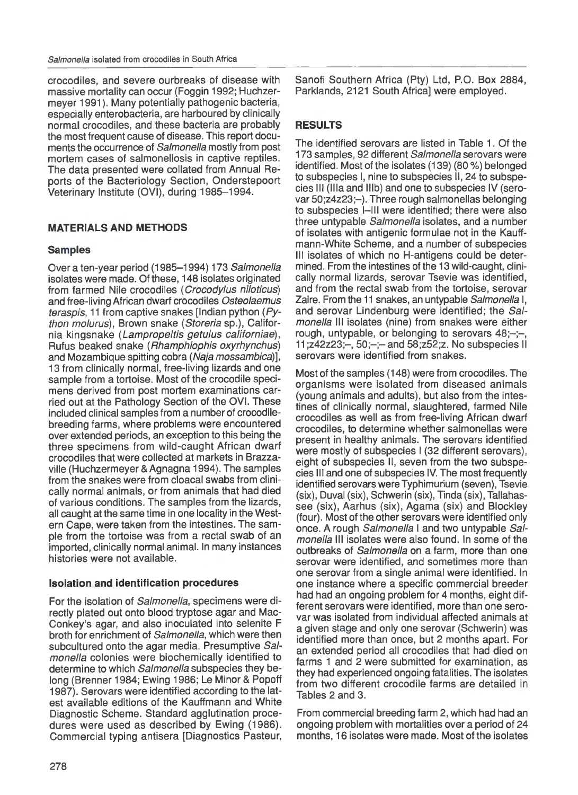crocodiles, and severe ourbreaks of disease with massive mortality can occur (Foggin 1992; Huchzermeyer 1991). Many potentially pathogenic bacteria, especially enterobacteria, are harboured by clinically normal crocodiles, and these bacteria are probably the most frequent cause of disease. This report documents the occurrence of Salmonella mostly from post mortem cases of salmonellosis in captive reptiles. The data presented were collated from Annual Reports of the Bacteriology Section, Onderstepoort Veterinary Institute (OVI), during 1985-1994.

# **MATERIALS AND METHODS**

# **Samples**

Over a ten-year period (1985-1994) 173 Salmonella isolates were made. Of these, 148 isolates originated from farmed Nile crocodiles ( Crocodylus niloticus) and free-living African dwarf crocodiles Osteolaemus teraspis, 11 from captive snakes [Indian python (Python molurus), Brown snake (Storeria sp.), California kingsnake (Lampropeltis getulus californiae), Rufus beaked snake ( Rhamphiophis oxyrhynchus) and Mozambique spitting cobra (Naja mossambica)], 13 from clinically normal, free-living lizards and one sample from a tortoise. Most of the crocodile specimens derived from post mortem examinations carried out at the Pathology Section of the OVI. These included clinical samples from a number of crocodilebreeding farms, where problems were encountered over extended periods, an exception to this being the three specimens from wild-caught African dwarf crocodiles that were collected at markets in Brazzaville (Huchzermeyer & Agnagna 1994). The samples from the snakes were from cloacal swabs from clinically normal animals, or from animals that had died of various conditions. The samples from the lizards, all caught at the same time in one locality in the Western Cape, were taken from the intestines. The sample from the tortoise was from a rectal swab of an imported, clinically normal animal. In many instances histories were not available.

# **Isolation and identification procedures**

For the isolation of Salmonella, specimens were directly plated out onto blood tryptose agar and Mac-Conkey's agar, and also inoculated into selenite F broth for enrichment of Salmonella, which were then subcultured onto the agar media. Presumptive Salmonella colonies were biochemically identified to determine to which Salmonella subspecies they belong (Brenner 1984; Ewing 1986; Le Minor & Popoff 1987). Serovars were identified according to the latest available editions of the Kauffmann and White Diagnostic Scheme. Standard agglutination procedures were used as described by Ewing (1986) . Commercial typing antisera [Diagnostics Pasteur, Sanofi Southern Africa (Pty) Ltd, P.O. Box 2884, Parklands, 2121 South Africa] were employed.

# **RESULTS**

The identified serovars are listed in Table 1. Of the 173 samples, 92 different Salmonella serovars were identified. Most of the isolates (139) (80 %) belonged to subspecies I, nine to subspecies II, 24 to subspecies III (IIIa and IIIb) and one to subspecies IV (serovar 50;z4z23;-). Three rough salmonellas belonging to subspecies 1-111 were identified; there were also three untypable Salmonella isolates, and a number of isolates with antigenic formulae not in the Kauffmann-White Scheme, and a number of subspecies Ill isolates of which no H-antigens could be determined. From the intestines of the 13 wild-caught, clinically normal lizards, serovar Tsevie was identified, and from the rectal swab from the tortoise, serovar Zaire. From the 11 snakes, an untypable *Salmonella* I, and serovar Lindenburg were identified; the Salmonella Ill isolates (nine) from snakes were either rough, untypable, or belonging to serovars  $48$ ;-;-, 11;z42z23;-, 50;-;- and 58;z52;z. No subspecies II serovars were identified from snakes.

Most of the samples (148) were from crocodiles. The organisms were isolated from diseased animals (young animals and adults), but also from the intestines of clinically normal, slaughtered, farmed Nile crocodiles as well as from free-living African dwarf crocodiles, to determine whether salmonellas were present in healthy animals. The serovars identified were mostly of subspecies I (32 different serovars), eight of subspecies II, seven from the two subspecies Ill and one of subspecies IV. The most frequently identified serovars were Typhimurium (seven), Tsevie (six), Duval (six), Schwerin (six), Tinda (six), Tallahassee (six), Aarhus (six), Agama (six) and Blockley (four). Most of the other serovars were identified only once. A rough Salmonella I and two untypable Salmonella Ill isolates were also found. In some of the outbreaks of Salmonella on a farm, more than one serovar were identified, and sometimes more than one serovar from a single animal were identified. In one instance where a specific commercial breeder had had an ongoing problem for 4 months, eight different serovars were identified, more than one serovar was isolated from individual affected animals at a given stage and only one serovar (Schwerin) was identified more than once, but 2 months apart. For an extended period all crocodiles that had died on farms 1 and 2 were submitted for examination, as they had experienced ongoing fatalities. The isolates from two different crocodile farms are detailed in Tables 2 and 3.

From commercial breeding farm 2, which had had an ongoing problem with mortalities over a period of 24 months, 16 isolates were made. Most of the isolates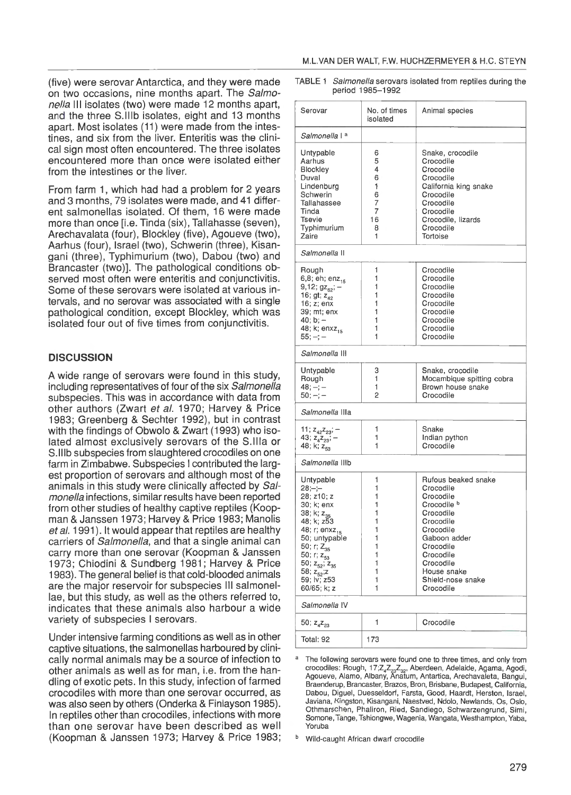(five) were serovar Antarctica, and they were made TABLE 1 Salmonella serovars isolated from reptiles during the<br>
seried 1985–1992 on two occasions, nine months apart. The Salmonella Ill isolates (two) were made 12 months apart, and the three S.lllb isolates, eight and 13 months apart. Most isolates (11) were made from the intestines, and six from the liver. Enteritis was the clinical sign most often encountered. The three isolates encountered more than once were isolated either from the intestines or the liver.

From farm 1, which had had a problem for 2 years and 3 months, 79 isolates were made, and 41 different salmonellas isolated. Of them, 16 were made more than once [i.e. Tinda (six), Tallahasse (seven), Arechavalata (four), Blockley (five), Agoueve (two), Aarhus (four), Israel (two), Schwerin (three), Kisangani (three), Typhimurium (two), Dabou (two) and Brancaster (two)]. The pathological conditions observed most often were enteritis and conjunctivitis. Some of these serovars were isolated at various intervals, and no serovar was associated with a single pathological condition, except Blackley, which was isolated four out of five times from conjunctivitis.

### **DISCUSSION**

A wide range of serovars were found in this study, including representatives of four of the six Salmonella subspecies. This was in accordance with data from other authors (Zwart et al. 1970; Harvey & Price 1983; Greenberg & Sechter 1992), but in contrast with the findings of Obwolo & Zwart (1993) who isolated almost exclusively serovars of the S.llla or S.lllb subspecies from slaughtered crocodiles on one farm in Zimbabwe. Subspecies I contributed the largest proportion of serovars and although most of the animals in this study were clinically affected by Salmonella infections, similar results have been reported from other studies of healthy captive reptiles (Koopman & Janssen 1973; Harvey & Price 1983; Manolis et al. 1991). It would appear that reptiles are healthy carriers of Salmonella, and that a single animal can carry more than one serovar (Koopman & Janssen 1973; Chiodini & Sundberg 1981; Harvey & Price 1983). The general belief is that cold-blooded animals are the major reservoir for subspecies Ill salmonellae, but this study, as well as the others referred to, indicates that these animals also harbour a wide variety of subspecies I serovars.

Under intensive farming conditions as well as in other captive situations, the salmonellas harboured by clinically normal animals may be a source of infection to other animals as well as for man, i.e. from the handling of exotic pets. In this study, infection of farmed crocodiles with more than one serovar occurred, as was also seen by others (Onderka & Finlayson 1985). In reptiles other than crocodiles, infections with more than one serovar have been described as well (Koopman & Janssen 1973; Harvey & Price 1983;

| Serovar                                                                                                                                                                                                                                                        | No. of times<br>isolated                                           | Animal species                                                                                                                                                                                                         |  |  |  |  |  |
|----------------------------------------------------------------------------------------------------------------------------------------------------------------------------------------------------------------------------------------------------------------|--------------------------------------------------------------------|------------------------------------------------------------------------------------------------------------------------------------------------------------------------------------------------------------------------|--|--|--|--|--|
| Salmonella I ª                                                                                                                                                                                                                                                 |                                                                    |                                                                                                                                                                                                                        |  |  |  |  |  |
| Untypable<br>Aarhus<br>Blockley<br>Duval<br>Lindenburg<br>Schwerin<br>Tallahassee<br>Tinda<br>Tsevie<br>Typhimurium<br>Zaire                                                                                                                                   | 6<br>5<br>4<br>6<br>1<br>6<br>7<br>7<br>16<br>8<br>1               | Snake, crocodile<br>Crocodile<br>Crocodile<br>Crocodile<br>California king snake<br>Crocodile<br>Crocodile<br>Crocodile<br>Crocodile, lizards<br>Crocodile<br>Tortoise                                                 |  |  |  |  |  |
| Salmonella II                                                                                                                                                                                                                                                  |                                                                    |                                                                                                                                                                                                                        |  |  |  |  |  |
| Rough<br>6,8; eh; enz <sub>15</sub><br>9,12; $gz_{62}$ ; -<br>16; gt; $z_{42}$<br>16; z; enx<br>39; mt; enx<br>40; b; –<br>48; k; enxz <sub>15</sub><br>$55: -;-$                                                                                              | 1<br>1<br>1<br>1<br>1<br>1<br>1<br>1<br>1                          | Crocodile<br>Crocodile<br>Crocodile<br>Crocodile<br>Crocodile<br>Crocodile<br>Crocodile<br>Crocodile<br>Crocodile                                                                                                      |  |  |  |  |  |
| Salmonella III                                                                                                                                                                                                                                                 |                                                                    |                                                                                                                                                                                                                        |  |  |  |  |  |
| Untypable<br>Rough<br>$48, -; -$<br>50; —; —                                                                                                                                                                                                                   | 3<br>1<br>1<br>2                                                   | Snake, crocodile<br>Mocambique spitting cobra<br>Brown house snake<br>Crocodile                                                                                                                                        |  |  |  |  |  |
| <i>Salmonella</i> IIIa                                                                                                                                                                                                                                         |                                                                    |                                                                                                                                                                                                                        |  |  |  |  |  |
| 11; $z_{42}z_{23}$ ; -<br>43; $z_4z_{23}$ ; -<br>48; k; z <sub>ss</sub>                                                                                                                                                                                        | 1<br>1<br>1                                                        | Snake<br>Indian python<br>Crocodile                                                                                                                                                                                    |  |  |  |  |  |
| <i>Salmonella</i> IIIb                                                                                                                                                                                                                                         |                                                                    |                                                                                                                                                                                                                        |  |  |  |  |  |
| Untypable<br>28;–;–<br>28; z10; z<br>30; k; enx<br>38; k; z <sub>as</sub><br>48; k; z53<br>48; r; enxz <sub>15</sub><br>50; untypable<br>50; r; $Z_{35}$<br>50; r; z <sub>53</sub><br>50; $z_{52}$ ; $z_{35}$<br>58; $z_{52}$ ;z<br>59; lv; z53<br>60/65; k; z | 1<br>1<br>1<br>1<br>1<br>1<br>1<br>1<br>1<br>1<br>1<br>1<br>1<br>1 | Rufous beaked snake<br>Crocodile<br>Crocodile<br>Crocodile <sup>b</sup><br>Crocodile<br>Crocodile<br>Crocodile<br>Gaboon adder<br>Crocodile<br>Crocodile<br>Crocodile<br>House snake<br>Shield-nose snake<br>Crocodile |  |  |  |  |  |
| Salmonella IV                                                                                                                                                                                                                                                  |                                                                    |                                                                                                                                                                                                                        |  |  |  |  |  |
| 50; $z_4 z_{23}$                                                                                                                                                                                                                                               | 1                                                                  | Crocodile                                                                                                                                                                                                              |  |  |  |  |  |
| Total: 92                                                                                                                                                                                                                                                      | 173                                                                |                                                                                                                                                                                                                        |  |  |  |  |  |

The following serovars were found one to three times, and only from crocodiles: Rough, 17;Z<sub>4</sub>Z<sub>23</sub>Z<sub>32</sub>, Aberdeen, Adelaide, Agama, Agodi,<br>Agoueve, Alamo, Albany, Anatum, Antartica, Arechavaleta, Bangui, Braenderup, Brancaster, Brazos, Bran, Brisbane, Budapest, California, Dabou, Diguel, Duesseldorf, Farsta, Good, Haardt, Herston, Israel, Javiana, Kingston, Kisangani , Naestved, Ndolo, Newlands, Os, Oslo, Othmarschen, Phaliron, Ried, Sandiego, Schwarzengrund, Simi, Somone, Tange, Tshiongwe, Wagenia, Wangata, Westhampton, Yaba, Yoruba

**b** Wild-caught African dwarf crocodile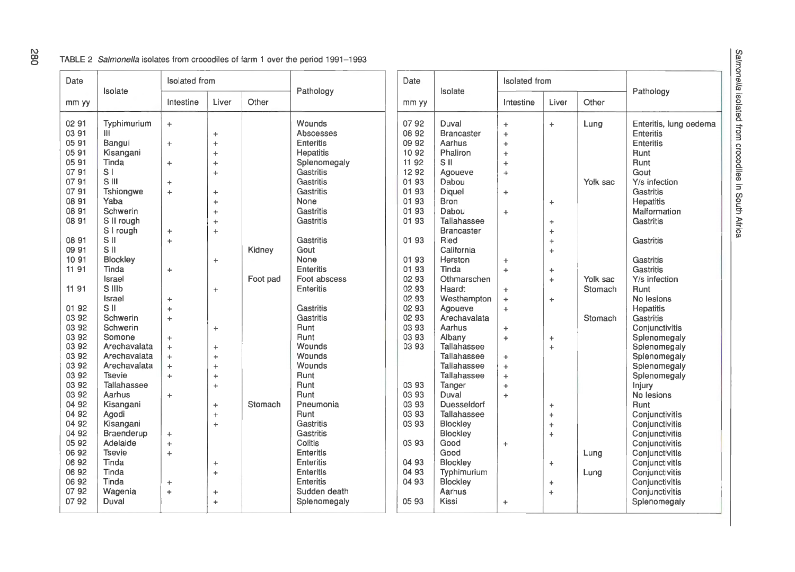### TABLE 2 Salmonella isolates from crocodiles of farm 1 over the period 1991-1993

| Date                                                                                                              | Isolate                                                                                                                                                | <b>Isolated</b> from                                                 |                                                                                                   |                    | Date                                                                                                                                             |                                                                               | Isolated from                                                                                                                                             |                                                                                                             |                                                                                       |                     |                                                                                                                                                                                              |
|-------------------------------------------------------------------------------------------------------------------|--------------------------------------------------------------------------------------------------------------------------------------------------------|----------------------------------------------------------------------|---------------------------------------------------------------------------------------------------|--------------------|--------------------------------------------------------------------------------------------------------------------------------------------------|-------------------------------------------------------------------------------|-----------------------------------------------------------------------------------------------------------------------------------------------------------|-------------------------------------------------------------------------------------------------------------|---------------------------------------------------------------------------------------|---------------------|----------------------------------------------------------------------------------------------------------------------------------------------------------------------------------------------|
| mm yy                                                                                                             |                                                                                                                                                        | Intestine                                                            | Liver                                                                                             | Other              | Pathology                                                                                                                                        | mm yy                                                                         | Isolate                                                                                                                                                   | Intestine                                                                                                   | Liver                                                                                 | Other               | Pathology                                                                                                                                                                                    |
| 02 91<br>03 91<br>05 91<br>0591<br>0591<br>07 91                                                                  | Typhimurium<br>Ш<br>Bangui<br>Kisangani<br>Tinda<br>S <sub>1</sub>                                                                                     | $\ddot{\phantom{1}}$<br>$\ddag$<br>$\ddot{}$                         | ÷<br>$\ddot{\phantom{1}}$<br>$\ddot{\phantom{1}}$<br>$\ddot{}$<br>$\ddot{\phantom{1}}$            |                    | Wounds<br>Abscesses<br><b>Enteritis</b><br>Hepatitis<br>Splenomegaly<br>Gastritis                                                                | 0792<br>08 92<br>09 92<br>10 92<br>11 92<br>12 92                             | Duval<br><b>Brancaster</b><br>Aarhus<br>Phaliron<br>S II<br>Agoueve                                                                                       | $\ddot{\phantom{1}}$<br>$\ddot{\phantom{1}}$<br>$\ddot{\phantom{1}}$<br>$\ddot{}$<br>$\ddot{}$<br>$\ddot{}$ | $\ddot{\phantom{1}}$                                                                  | Lung                | Enteritis, lung oedema<br>Enteritis<br>Enteritis<br>Runt<br>Runt<br>Gout                                                                                                                     |
| 0791<br>07 91<br>08 91<br>08 91<br>08 91                                                                          | S III<br>Tshiongwe<br>Yaba<br>Schwerin<br>S II rough<br>S I rough                                                                                      | $\div$<br>÷<br>$\pm$                                                 | $\ddot{}$<br>$\ddot{}$<br>$\ddot{}$<br>$\ddot{}$<br>$\ddot{}$                                     |                    | Gastritis<br>Gastritis<br>None<br>Gastritis<br>Gastritis                                                                                         | 01 93<br>01 93<br>01 93<br>01 93<br>01 93                                     | Dabou<br>Diquel<br><b>Bron</b><br>Dabou<br>Tallahassee<br><b>Brancaster</b>                                                                               | $\ddot{}$<br>$+$                                                                                            | $\ddot{}$<br>$\ddot{}$<br>$\ddot{}$                                                   | Yolk sac            | Y/s infection<br>Gastritis<br>Hepatitis<br>Malformation<br>Gastritis                                                                                                                         |
| 08 91<br>09 91<br>10 91<br>11 91<br>11 91                                                                         | S II<br>S <sub>II</sub><br>Blockley<br>Tinda<br>Israel<br>S IIIb                                                                                       | $\ddot{}$<br>$+$                                                     | $\ddot{}$<br>$\ddot{}$                                                                            | Kidney<br>Foot pad | Gastritis<br>Gout<br>None<br>Enteritis<br>Foot abscess<br><b>Enteritis</b>                                                                       | 01 93<br>01 93<br>01 93<br>02 93<br>02 93                                     | Ried<br>California<br>Herston<br>Tinda<br>Othmarschen<br>Haardt                                                                                           | $\ddot{}$<br>$\ddot{}$<br>$+$                                                                               | $\ddot{}$<br>$\ddot{}$<br>$\pm$<br>$\ddot{}$                                          | Yolk sac<br>Stomach | Gastritis<br>Gastritis<br><b>Gastritis</b><br>Y/s infection<br>Runt                                                                                                                          |
| 01 92<br>03 92<br>03 92<br>03 92<br>03 92<br>03 92<br>03 92                                                       | Israel<br>S II<br>Schwerin<br>Schwerin<br>Somone<br>Arechavalata<br>Arechavalata<br>Arechavalata                                                       | ÷<br>$\ddot{}$<br>$\ddot{}$<br>$+$<br>÷<br>$+$<br>$+$                | $+$<br>$\ddot{}$<br>$\ddot{}$<br>$\ddot{}$                                                        |                    | Gastritis<br>Gastritis<br>Runt<br>Runt<br>Wounds<br>Wounds<br>Wounds                                                                             | 02 93<br>02 93<br>02 93<br>03 93<br>03 93<br>03 93                            | Westhampton<br>Agoueve<br>Arechavalata<br>Aarhus<br>Albany<br>Tallahassee<br>Tallahassee<br>Tallahassee                                                   | $\ddot{}$<br>$+$<br>$\ddot{}$<br>$\ddot{}$<br>$+$<br>$+$                                                    | $\ddot{\phantom{1}}$<br>$\pm$<br>$\ddot{}$                                            | Stomach             | No lesions<br>Hepatitis<br>Gastritis<br>Conjunctivitis<br>Splenomegaly<br>Splenomegaly<br>Splenomegaly<br>Splenomegaly                                                                       |
| 03 92<br>03 92<br>03 92<br>04 92<br>04 92<br>04 92<br>04 92<br>05 92<br>06 92<br>06 92<br>06 92<br>06 92<br>07 92 | <b>Tsevie</b><br>Tallahassee<br>Aarhus<br>Kisangani<br>Agodi<br>Kisangani<br><b>Braenderup</b><br>Adelaide<br><b>Tsevie</b><br>Tinda<br>Tinda<br>Tinda | $\ddot{}$<br>$+$<br>$\ddot{}$<br>$\ddot{}$<br>$\ddot{}$<br>$\ddot{}$ | $\ddot{\phantom{1}}$<br>$\ddot{}$<br>$\ddot{\phantom{1}}$<br>$\ddot{}$<br>÷<br>$\ddot{}$<br>$\pm$ | Stomach            | <b>Runt</b><br>Runt<br>Runt<br>Pneumonia<br>Runt<br><b>Gastritis</b><br>Gastritis<br>Colitis<br>Enteritis<br>Enteritis<br>Enteritis<br>Enteritis | 03 93<br>03 93<br>03 93<br>03 93<br>03 93<br>03 93<br>04 93<br>04 93<br>04 93 | Tallahassee<br>Tanger<br>Duval<br><b>Duesseldorf</b><br>Tallahassee<br><b>Blockley</b><br>Blockley<br>Good<br>Good<br>Blockley<br>Typhimurium<br>Blockley | $\ddot{}$<br>$\ddot{}$<br>$\ddot{}$<br>÷                                                                    | $\ddot{\phantom{1}}$<br>$\div$<br>$\ddot{\phantom{1}}$<br>$\ddot{}$<br>÷<br>$\ddot{}$ | Lung<br>Lung        | Splenomegaly<br>Injury<br>No lesions<br>Runt<br>Conjunctivitis<br>Conjunctivitis<br>Conjunctivitis<br>Conjunctivitis<br>Conjunctivitis<br>Conjunctivitis<br>Conjunctivitis<br>Conjunctivitis |
| 0792                                                                                                              | Wagenia<br>Duval                                                                                                                                       | $\ddot{}$                                                            | $\ddot{}$<br>$\div$                                                                               |                    | Sudden death<br>Splenomegaly                                                                                                                     | 0593                                                                          | Aarhus<br>Kissi                                                                                                                                           | $\ddot{}$                                                                                                   | $\ddot{\phantom{1}}$                                                                  |                     | Conjunctivitis<br>Splenomegaly                                                                                                                                                               |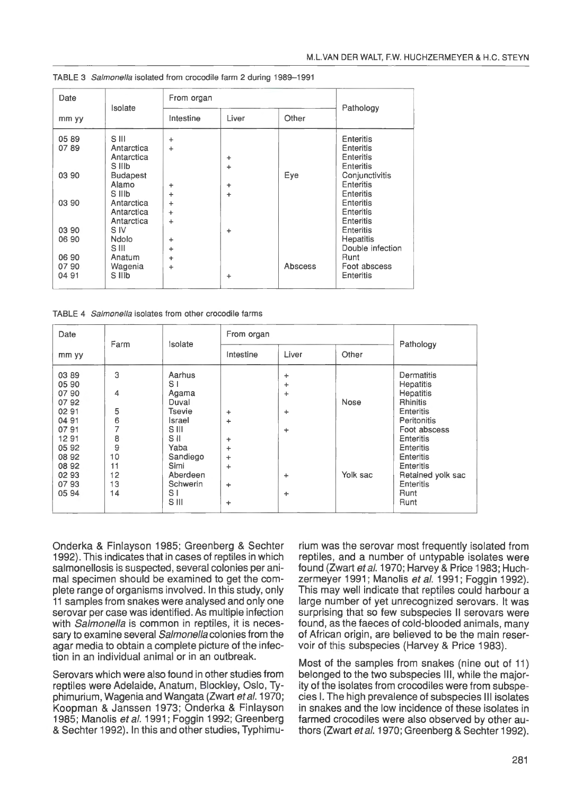| Date                   | Isolate                                     | From organ             | Pathology      |                |                                                   |  |
|------------------------|---------------------------------------------|------------------------|----------------|----------------|---------------------------------------------------|--|
| mm yy                  |                                             | Liver<br>Intestine     |                | Other          |                                                   |  |
| 05 89<br>0789          | S III<br>Antarctica<br>Antarctica<br>S IIIb | $\ddot{}$<br>$\div$    | ÷<br>$\ddot{}$ |                | Enteritis<br>Enteritis<br>Enteritis<br>Enteritis  |  |
| 03 90                  | <b>Budapest</b><br>Alamo<br>S IIIb          | $\ddot{}$<br>÷         | ÷<br>÷         | Eye            | Conjunctivitis<br>Enteritis<br><b>Enteritis</b>   |  |
| 03 90                  | Antarctica<br>Antarctica<br>Antarctica      | $\ddot{}$<br>÷<br>÷    |                |                | Enteritis<br>Enteritis<br>Enteritis               |  |
| 03 90<br>06 90         | S IV<br>Ndolo<br>S III                      | $\ddot{}$<br>$\ddot{}$ | $\ddot{}$      |                | Enteritis<br><b>Hepatitis</b><br>Double infection |  |
| 06 90<br>0790<br>04 91 | Anatum<br>Wagenia<br>S IIIb                 | $\ddot{}$<br>÷         | $\ddot{}$      | <b>Abscess</b> | Runt<br>Foot abscess<br>Enteritis                 |  |

TABLE 3 Salmonella isolated from crocodile farm 2 during 1989-1991

TABLE 4 Salmonella isolates from other crocodile farms

| Date                                                                                                                   | Farm                                                          | Isolate                                                                                                                                            | From organ                                   | Pathology                                                       |                  |                                                                                                                                                                                                                                                     |  |
|------------------------------------------------------------------------------------------------------------------------|---------------------------------------------------------------|----------------------------------------------------------------------------------------------------------------------------------------------------|----------------------------------------------|-----------------------------------------------------------------|------------------|-----------------------------------------------------------------------------------------------------------------------------------------------------------------------------------------------------------------------------------------------------|--|
| mm yy                                                                                                                  |                                                               |                                                                                                                                                    | Intestine                                    | Liver                                                           | Other            |                                                                                                                                                                                                                                                     |  |
| 03 89<br>05 90<br>07 90<br>0792<br>02 91<br>04 91<br>0791<br>1291<br>05 92<br>08 92<br>08 92<br>02 93<br>0793<br>05 94 | 3<br>4<br>5<br>6<br>7<br>8<br>9<br>10<br>11<br>12<br>13<br>14 | Aarhus<br>S۱<br>Agama<br>Duval<br>Tsevie<br>Israel<br>S III<br>S II<br>Yaba<br>Sandiego<br>Simi<br>Aberdeen<br>Schwerin<br>S <sub>1</sub><br>S III | ÷<br>÷<br>÷<br>÷<br>÷<br>÷<br>÷<br>$\ddot{}$ | ÷<br>÷<br>$\ddot{}$<br>÷<br>$\ddot{}$<br>$\ddot{}$<br>$\ddot{}$ | Nose<br>Yolk sac | Dermatitis<br><b>Hepatitis</b><br><b>Hepatitis</b><br><b>Rhinitis</b><br>Enteritis<br><b>Peritonitis</b><br>Foot abscess<br><b>Enteritis</b><br>Enteritis<br>Enteritis<br><b>Enteritis</b><br>Retained yolk sac<br><b>Enteritis</b><br>Runt<br>Runt |  |

Onderka & Finlayson 1985; Greenberg & Sechter 1992). This indicates that in cases of reptiles in which salmonellosis is suspected, several colonies per animal specimen should be examined to get the complete range of organisms involved. In this study, only 11 samples from snakes were analysed and only one serovar per case was identified. As multiple infection with Salmonella is common in reptiles, it is necessary to examine several Salmonella colonies from the agar media to obtain a complete picture of the infection in an individual animal or in an outbreak.

Serovars which were also found in other studies from reptiles were Adelaide, Anatum, Blockley, Oslo, Typhimurium, Wagenia and Wangata (Zwart et al. 1970; Koopman & Janssen 1973; Onderka & Finlayson 1985; Manolis et al. 1991; Foggin 1992; Greenberg & Sechter 1992). In this and other studies, Typhimurium was the serovar most frequently isolated from reptiles, and a number of untypable isolates were found (Zwart et al. 1970; Harvey & Price 1983; Huchzermeyer 1991; Manolis *et al.* 1991; Foggin 1992). This may well indicate that reptiles could harbour a large number of yet unrecognized serovars. It was surprising that so few subspecies II serovars were found, as the faeces of cold-blooded animals, many of African origin, are believed to be the main reservoir of this subspecies (Harvey & Price 1983).

Most of the samples from snakes (nine out of 11) belonged to the two subspecies Ill, while the majority of the isolates from crocodiles were from subspecies I. The high prevalence of subspecies Ill isolates in snakes and the low incidence of these isolates in farmed crocodiles were also observed by other authors (Zwart et al. 1970; Greenberg & Sechter 1992).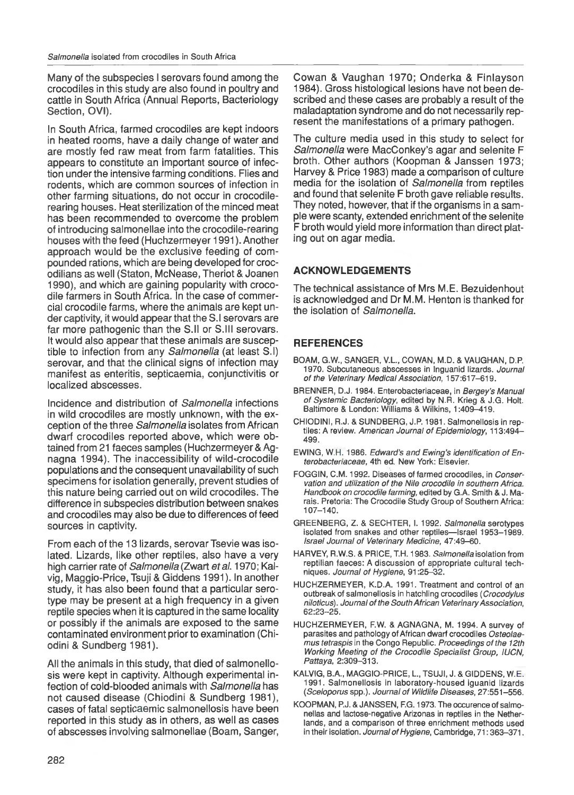Many of the subspecies I serovars found among the crocodiles in this study are also found in poultry and cattle in South Africa (Annual Reports, Bacteriology Section, OVI).

In South Africa, farmed crocodiles are kept indoors in heated rooms, have a daily change of water and are mostly fed raw meat from farm fatalities. This appears to constitute an important source of infection under the intensive farming conditions. Flies and rodents, which are common sources of infection in other farming situations, do not occur in crocodilerearing houses. Heat sterilization of the minced meat has been recommended to overcome the problem of introducing salmonellae into the crocodile-rearing houses with the feed (Huchzermeyer 1991 ). Another approach would be the exclusive feeding of compounded rations, which are being developed for crocodilians as well (Staton, McNease, Theriot & Joanen 1990), and which are gaining popularity with crocodile farmers in South Africa. In the case of commercial crocodile farms, where the animals are kept under captivity, it would appear that the S.l serovars are far more pathogenic than the S.ll or S.lll serovars. It would also appear that these animals are susceptible to infection from any Salmonella (at least S.l) serovar, and that the clinical signs of infection may manifest as enteritis, septicaemia, conjunctivitis or localized abscesses.

Incidence and distribution of Salmonella infections in wild crocodiles are mostly unknown, with the exception of the three Salmonella isolates from African dwarf crocodiles reported above, which were obtained from 21 faeces samples (Huchzermeyer & Agnagna 1994). The inaccessibility of wild-crocodile populations and the consequent unavailability of such specimens for isolation generally, prevent studies of this nature being carried out on wild crocodiles. The difference in subspecies distribution between snakes and crocodiles may also be due to differences of feed sources in captivity.

From each of the 13 lizards, serovar Tsevie was isolated. Lizards, like other reptiles, also have a very high carrier rate of Salmonella (Zwart et al. 1970; Kalvig, Maggio-Price, Tsuji & Giddens 1991 ). In another study, it has also been found that a particular serotype may be present at a high frequency in a given reptile species when it is captured in the same locality or possibly if the animals are exposed to the same contaminated environment prior to examination (Chiodini & Sundberg 1981).

All the animals in this study, that died of salmonellosis were kept in captivity. Although experimental infection of cold-blooded animals with Salmonella has not caused disease (Chiodini & Sundberg 1981), cases of fatal septicaemic salmonellosis have been reported in this study as in others, as well as cases of abscesses involving salmonellae (Boam, Sanger,

Cowan & Vaughan 1970; Onderka & Finlayson 1984). Gross histological lesions have not been described and these cases are probably a result of the maladaptation syndrome and do not necessarily represent the manifestations of a primary pathogen.

The culture media used in this study to select for Salmonella were MacConkey's agar and selenite F broth. Other authors (Koopman & Janssen 1973; Harvey & Price 1983) made a comparison of culture media for the isolation of Salmonella from reptiles and found that selenite F broth gave reliable results. They noted, however, that if the organisms in a sample were scanty, extended enrichment of the selenite F broth would yield more information than direct plating out on agar media.

## **ACKNOWLEDGEMENTS**

The technical assistance of Mrs M.E. Bezuidenhout is acknowledged and Dr M.M. Henton is thanked for the isolation of Salmonella.

## **REFERENCES**

- BOAM, G.W., SANGER, V.L., COWAN, M.D. & VAUGHAN, D.P. 1970. Subcutaneous abscesses in Inguanid lizards. Journal of the Veterinary Medical Association, 157:617-619.
- BRENNER, D.J. 1984. Enterobacteriaceae, in Bergey's Manual of Systemic Bacteriology, edited by N.R. Krieg & J.G. Holt. Baltimore & London: Williams & Wilkins, 1:409-419.
- CHIODINI, R.J. & SUNDBERG, J.P. 1981. Salmonellosis in reptiles: A review. American Journal of Epidemiology, 113:494-499.
- EWING, W.H. 1986. Edward's and Ewing's identification of Enterobacteriaceae, 4th ed. New York: Elsevier.
- FOGGIN, C.M. 1992. Diseases of farmed crocodiles, in Conservation and utilization of the Nile crocodile in southern Africa. Handbook on crocodile farming, edited by G.A. Smith & J. Marais. Pretoria: The Crocodile Study Group of Southern Africa: 107-140.
- GREENBERG, Z. & SECHTER, I. 1992. Salmonella serotypes isolated from snakes and other reptiles-Israel 1953-1989. Israel Journal of Veterinary Medicine, 47:49-60.
- HARVEY, R.W.S. & PRICE, T.H. 1983. Salmonella isolation from reptilian faeces: A discussion of appropriate cultural techniques. Journal of Hygiene, 91:25-32.
- HUCHZERMEYER, K.D.A. 1991. Treatment and control of an outbreak of salmonellosis in hatchling crocodiles (Crocodylus niloticus). Journal of the South African Veterinary Association, 62:23-25.
- HUCHZERMEYER, F.W. & AGNAGNA, M. 1994. A survey of parasites and pathology of African dwarf crocodiles Osteolaemus tetraspis in the Congo Republic. Proceedings of the 12th Working Meeting of the Crocodile Specialist Group, IUCN, Pattaya, 2:309-313.
- KALVIG, B.A., MAGGIO-PRICE, L., TSUJI, J. & GIDDENS, W.E. 1991. Salmonellosis in laboratory-housed iguanid lizards (Sceloporus spp.). Journal of Wildlife Diseases, 27:551-556.
- KOOPMAN, P.J. & JANSSEN, F.G. 1973. The occurence of salmonellas and lactose-negative Arizonas in reptiles in the Netherlands, and a comparison of three enrichment methods used in their isolation. Journal of Hygiene, Cambridge, 71: 363-371.